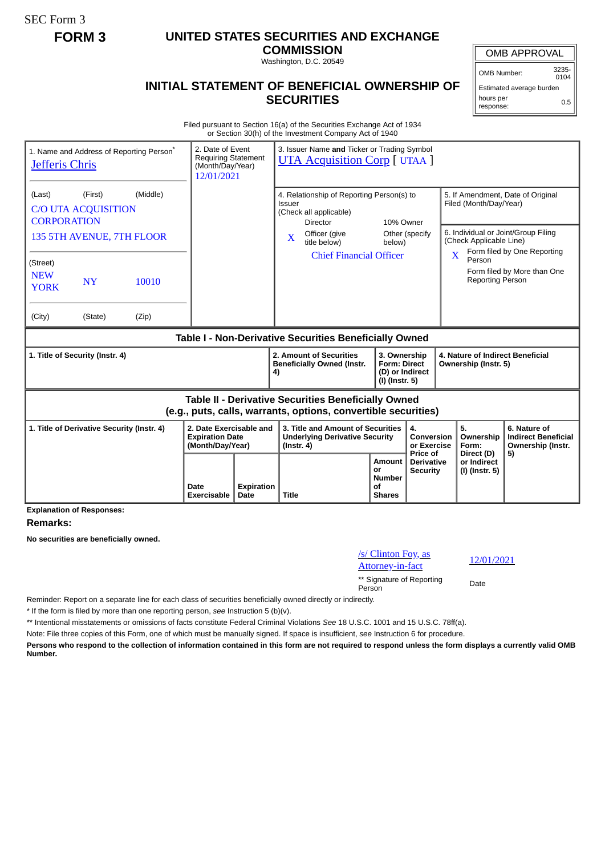SEC Form 3

## **FORM 3 UNITED STATES SECURITIES AND EXCHANGE**

**COMMISSION** Washington, D.C. 20549

## **INITIAL STATEMENT OF BENEFICIAL OWNERSHIP OF SECURITIES**

OMB APPROVAL

OMB Number: 3235-  $0104$ 

Estimated average burden hours per response: 0.5

Filed pursuant to Section 16(a) of the Securities Exchange Act of 1934 or Section 30(h) of the Investment Company Act of 1940

| 1. Name and Address of Reporting Person <sup>®</sup><br>Jefferis Chris                                                       | 2. Date of Event<br><b>Requiring Statement</b><br>(Month/Day/Year)<br>12/01/2021 |                           | 3. Issuer Name and Ticker or Trading Symbol<br><b>UTA Acquisition Corp</b> [ UTAA ]                           |                                                      |                                                                          |                                                                                               |                                                                 |  |
|------------------------------------------------------------------------------------------------------------------------------|----------------------------------------------------------------------------------|---------------------------|---------------------------------------------------------------------------------------------------------------|------------------------------------------------------|--------------------------------------------------------------------------|-----------------------------------------------------------------------------------------------|-----------------------------------------------------------------|--|
| (Middle)<br>(Last)<br>(First)<br><b>C/O UTA ACQUISITION</b><br><b>CORPORATION</b>                                            |                                                                                  |                           | 4. Relationship of Reporting Person(s) to<br>Issuer<br>(Check all applicable)<br>10% Owner<br><b>Director</b> |                                                      |                                                                          | 5. If Amendment, Date of Original<br>Filed (Month/Day/Year)                                   |                                                                 |  |
| 135 5TH AVENUE, 7TH FLOOR                                                                                                    |                                                                                  |                           | Officer (give<br>$\overline{\mathbf{X}}$<br>title below)                                                      | below)                                               | Other (specify                                                           | 6. Individual or Joint/Group Filing<br>(Check Applicable Line)<br>Form filed by One Reporting |                                                                 |  |
| (Street)<br><b>NEW</b><br>10010<br><b>NY</b><br><b>YORK</b>                                                                  |                                                                                  |                           | <b>Chief Financial Officer</b>                                                                                |                                                      |                                                                          | $\overline{\mathbf{X}}$<br>Person<br><b>Reporting Person</b>                                  | Form filed by More than One                                     |  |
| (City)<br>(State)<br>(Zip)                                                                                                   |                                                                                  |                           |                                                                                                               |                                                      |                                                                          |                                                                                               |                                                                 |  |
| Table I - Non-Derivative Securities Beneficially Owned                                                                       |                                                                                  |                           |                                                                                                               |                                                      |                                                                          |                                                                                               |                                                                 |  |
| 1. Title of Security (Instr. 4)                                                                                              |                                                                                  |                           | 2. Amount of Securities<br><b>Beneficially Owned (Instr.</b><br>4)                                            |                                                      | 3. Ownership<br><b>Form: Direct</b><br>(D) or Indirect<br>(I) (Instr. 5) |                                                                                               | 4. Nature of Indirect Beneficial<br>Ownership (Instr. 5)        |  |
| <b>Table II - Derivative Securities Beneficially Owned</b><br>(e.g., puts, calls, warrants, options, convertible securities) |                                                                                  |                           |                                                                                                               |                                                      |                                                                          |                                                                                               |                                                                 |  |
| 1. Title of Derivative Security (Instr. 4)                                                                                   | 2. Date Exercisable and<br><b>Expiration Date</b><br>(Month/Day/Year)            |                           | 3. Title and Amount of Securities<br><b>Underlying Derivative Security</b><br>$($ lnstr. 4 $)$                |                                                      | 4.<br>Conversion<br>or Exercise<br>Price of                              | 5.<br>Ownership<br>Form:                                                                      | 6. Nature of<br><b>Indirect Beneficial</b><br>Ownership (Instr. |  |
|                                                                                                                              | Date<br>Exercisable                                                              | <b>Expiration</b><br>Date | <b>Title</b>                                                                                                  | Amount<br>or<br><b>Number</b><br>οf<br><b>Shares</b> | <b>Derivative</b><br><b>Security</b>                                     | Direct (D)<br>or Indirect<br>(I) (Instr. 5)                                                   | 5)                                                              |  |

**Explanation of Responses:**

## **Remarks:**

**No securities are beneficially owned.**

| /s/ Clinton Foy, as                 | 12/  |
|-------------------------------------|------|
| <b>Attorney-in-fact</b>             |      |
| ** Signature of Reporting<br>Person | Date |

Attorney-in-fact 12/01/2021

Reminder: Report on a separate line for each class of securities beneficially owned directly or indirectly.

\* If the form is filed by more than one reporting person, *see* Instruction 5 (b)(v).

\*\* Intentional misstatements or omissions of facts constitute Federal Criminal Violations *See* 18 U.S.C. 1001 and 15 U.S.C. 78ff(a).

Note: File three copies of this Form, one of which must be manually signed. If space is insufficient, *see* Instruction 6 for procedure.

**Persons who respond to the collection of information contained in this form are not required to respond unless the form displays a currently valid OMB Number.**